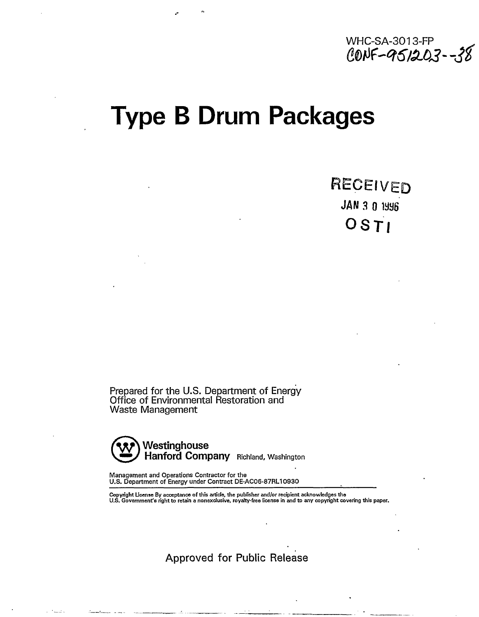

# **Type B Drum Packages**

RECEIVED **JAN 3 0 1SH6**  OSTI

Prepared for the U.S. Department of Energy Office of Environmental Restoration and Waste Management



Management and Operations Contractor for the U.S. Department of Energy under Contract DE-AC06-87RL10930

Copyright License By acceptance of this article, the publisher and/or recipient acknowledges the<br>U.S. Government's right to retain a nonexclusive, royalty-free license in and to any copyright covering this paper.

Approved for Public Release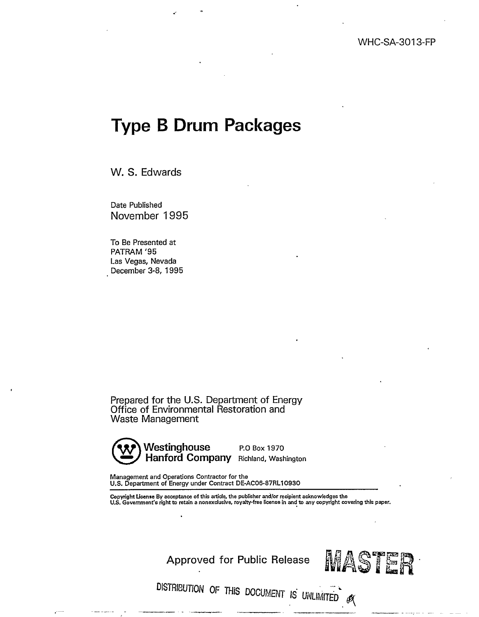## **Type B Drum Packages**

W. S. Edwards

Date Published November 1995

To Be Presented at PATRAM '95 Las Vegas, Nevada December 3-8, 1995

Prepared for the U.S. Department of Energy Office of Environmental Restoration and Waste Management



**Westinghouse P.O Box 1970** Hanford Company Richland, Washington

Management and Operations Contractor for the U.S. Department of Energy under Contract DE-AC06-87RL10930

Copyright License By acceptance of this article, the publisher and/or recipient acknowledges the<br>U.S. Government's right to retain a nonexclusive, royalty-free license in and to any copyright covering this paper.

Approved for Public Release  $MAS$  TER

DISTRIBUTION OF THIS DOCUMENT IS UNLIMITED  $\mathscr{B}$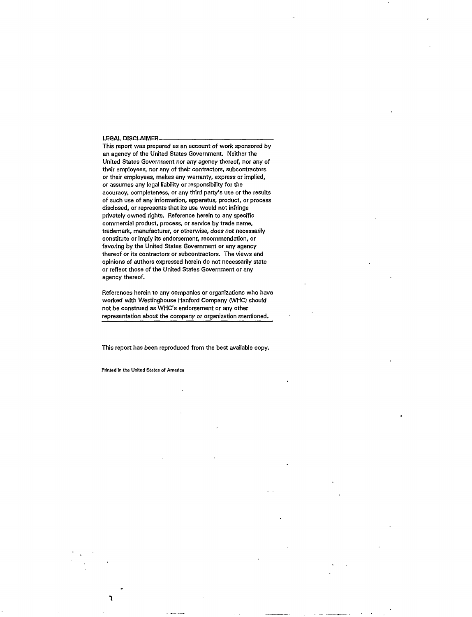#### LEGAL DISCLAIMER

This report was prepared as an account of work sponsored by an agency of the United States Government. Neither the United States Government nor any agency thereof, nor any of their employees, nor any of their contractors, subcontractors or their employees, makes any warranty, express or implied, or assumes any legal liability or responsibility for the accuracy, completeness, or any third party's use or the results of such use of any information, apparatus, product, or process disclosed, or represents that its use would not infringe privately owned rights. Reference herein to any specific commercial product, process, or service by trade name, trademark, manufacturer, or otherwise, does not necessarily constitute or imply its endorsement, recommendation, or favoring by the United States Government or any agency thereof or its contractors or subcontractors. The views and opinions of authors expressed herein do not necessarily state or reflect those of the United States Government or any agency thereof.

References herein to any companies or organizations who have worked with Westinghouse Hanford Company (WHC) should not be construed as WHC's endorsement or any other representation about the company *or* organization mentioned.

This report has been reproduced from the best available copy.

**Printed in the United States of America** 

**1**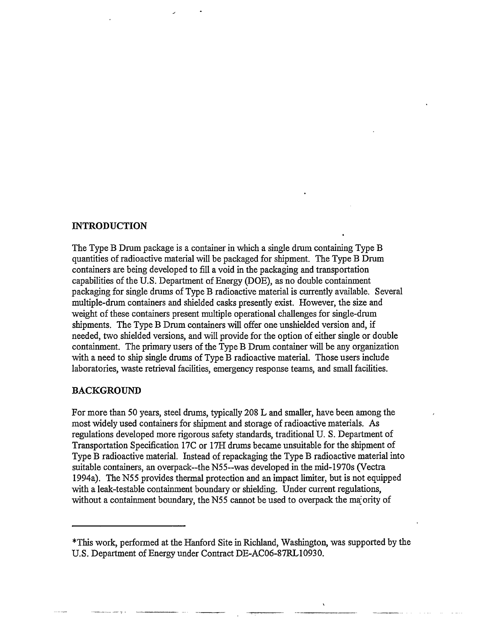#### **INTRODUCTION**

The Type B Drum package is a container in which a single drum containing Type B quantities of radioactive material will be packaged for shipment. The Type B Drum containers are being developed to fill a void in the packaging and transportation capabilities of the U.S. Department of Energy (DOE), as no double containment packaging for single drums of Type B radioactive material is currently available. Several multiple-drum containers and shielded casks presently exist. However, the size and weight of these containers present multiple operational challenges for single-drum shipments. The Type B Drum containers will offer one unshielded version and, if needed, two shielded versions, and will provide for the option of either single or double containment. The primary users of the Type B Drum container will be any organization with a need to ship single drums of Type B radioactive material. Those users include laboratories, waste retrieval facilities, emergency response teams, and small facilities.

#### BACKGROUND

For more than 50 years, steel drums, typically 208 L and smaller, have been among the most widely used containers for shipment and storage of radioactive materials. As regulations developed more rigorous safety standards, traditional U. S. Department of Transportation Specification 17C or 17H drums became unsuitable for the shipment of Type B radioactive material. Instead of repackaging the Type B radioactive material into suitable containers, an overpack~the N55~was developed in the mid-1970s (Vectra 1994a). The N55 provides thermal protection and an impact limiter, but is not equipped with a leak-testable containment boundary or shielding. Under current regulations, without a containment boundary, the N55 cannot be used to overpack the majority of

This work, performed at the Hanford Site in Richland, Washington, was supported by the U.S. Department of Energy under Contract DE-AC06-87RL10930.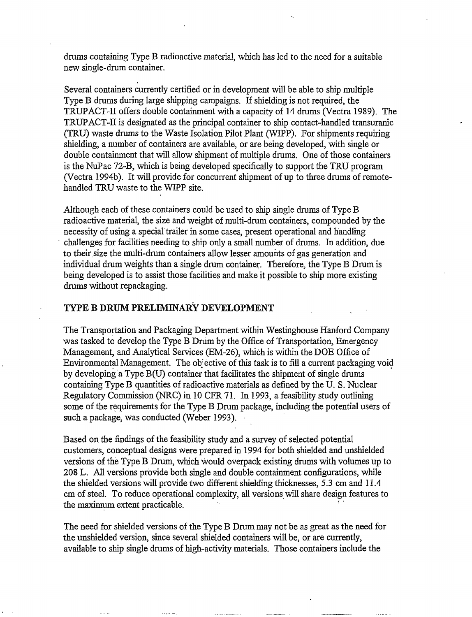drums containing Type B radioactive material, which has led to the need for a suitable new single-drum container.

Several containers currently certified or in development will be able to ship multiple Type B drums during large shipping campaigns. If shielding is not required, the TRUPACT-H offers double containment with a capacity of 14 drums (Vectra 1989). The TRUPACT-II is designated as the principal container to ship contact-handled transuranic (TRU) waste drums to the Waste Isolation Pilot Plant (WIPP). For shipments requiring shielding, a number of containers are available, or are being developed, with single or double containment that will allow shipment of multiple drums. One of those containers is the NuPac 72-B, which is being developed specifically to support the TRU program (Vectra 1994b). It will provide for concurrent shipment of up to three drums of remotehandled TRU waste to the WIPP site.

Although each of these containers could be used to ship single drums of Type B radioactive material, the size and weight of multi-drum containers, compounded by the necessity of using a special'trailer in some cases, present operational and handling challenges for facilities needing to ship only a small number of drums. In addition, due to their size the multi-drum containers allow lesser amounts of gas generation and individual drum weights than a single drum container. Therefore, the Type B Drum is being developed is to assist those facilities and make it possible to ship more existing drums without repackaging.

#### **TYPE B DRUM PRELIMINARY DEVELOPMENT**

The Transportation and Packaging Department within Westinghouse Hanford Company was tasked to develop the Type B Drum by the Office of Transportation, Emergency Management, and Analytical Services (EM-26), which is within the DOE Office of Environmental Management. The objective of this task is to fill a current packaging void by developing a Type B(U) container that facilitates the shipment of single drums containing Type B quantities of radioactive materials as defined by the U. S. Nuclear Regulatory Commission (NRC) in 10 CFR 71. In 1993, a feasibility study outlining some of the requirements for the Type B Drum package, including the potential users of such a package, was conducted (Weber 1993).

Based on the findings of the feasibility study and a survey of selected potential customers, conceptual designs were prepared in 1994 for both shielded and unshielded versions of the Type B Drum, which would overpack existing drums with volumes up to 208 L. All versions provide both single and double containment configurations, while the shielded versions will provide two different shielding thicknesses, 5.3 cm and 11.4 cm of steel. To reduce operational complexity, all versions will share design features to the maximum extent practicable. The contract of the contract of the contract of the contract of the contract of the contract of the contract of the contract of the contract of the contract of the contract of the contract of the contract of the contract

The need for shielded versions of the Type B Drum may not be as great as the need for the unshielded version, since several shielded containers will be, or are currently, available to ship single drums of high-activity materials. Those containers include the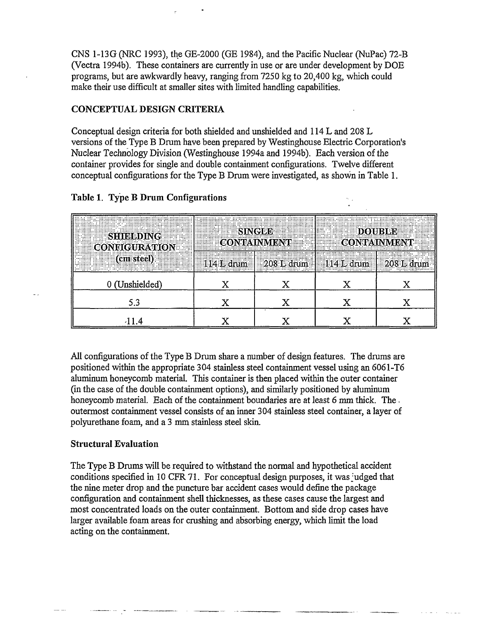CNS 1-13G (NRC 1993), the GE-2000 (GE 1984), and the Pacific Nuclear (NuPac) 72-B (Vectra 1994b). These containers are currently in use or are under development by DOE programs, but are awkwardly heavy, ranging from 7250 kg to 20,400 kg, which could make their use difficult at smaller sites with limited handling capabilities.

#### **CONCEPTUAL DESIGN CRITERIA**

Conceptual design criteria for both shielded and unshielded and 114 L and 208 L versions of the Type B Drum have been prepared by Westinghouse Electric Corporation's Nuclear Technology Division (Westinghouse 1994a and 1994b). Each version of the container provides for single and double containment configurations. Twelve different conceptual configurations for the Type B Drum were investigated, as shown in Table 1.

| ;,<br>נכר…………………⊃ו<br><u> II. ANIMAZI AMILIAN THOMANING ANG I</u><br>Then passed beerfolded<br><br><b>PARTIES</b><br>. <b>. .</b><br>pinnonini (d<br><br> | <br><b>EXAMPLE SINGLE DOUBLE</b><br><b>CONTAINMENT CONTAIN</b><br><br>immmm |  | <b>EXECUTE: LESS</b><br>CONTAINMENT CONTAINMENT                                                                         |             |
|-----------------------------------------------------------------------------------------------------------------------------------------------------------|-----------------------------------------------------------------------------|--|-------------------------------------------------------------------------------------------------------------------------|-------------|
| ha ann an 1960. Tha an 1960 an 1960 ann an comanana an t-ann an comanana an comanana an coimeach an coimeach                                              |                                                                             |  | Dennemia internetionale decentionale de contra de l'art economication de la contra de la constitución de la co<br><br>. | . <b></b> . |
|                                                                                                                                                           |                                                                             |  |                                                                                                                         |             |
|                                                                                                                                                           |                                                                             |  |                                                                                                                         |             |
|                                                                                                                                                           |                                                                             |  |                                                                                                                         |             |

#### **Table 1. Type B Drum Configurations**

All configurations of the Type B Drum share a number of design features. The drums are positioned within the appropriate 304 stainless steel containment vessel using an 6061-T6 aluminum honeycomb material. This container is then placed within the outer container (in the case of the double containment options), and similarly positioned by aluminum honeycomb material. Each of the containment boundaries are at least 6 mm thick. The. outermost containment vessel consists of an inner 304 stainless steel container, a layer of polyurethane foam, and a 3 mm stainless steel skin.

### **Structural Evaluation**

The Type B Drums will be required to withstand the normal and hypothetical accident conditions specified in 10 CFR 71. For conceptual design purposes, it was judged that the nine meter drop and the puncture bar accident cases would define the package configuration and containment shell thicknesses, as these cases cause the largest and most concentrated loads on the outer containment. Bottom and side drop cases have larger available foam areas for crushing and absorbing energy, which limit the load acting on the containment.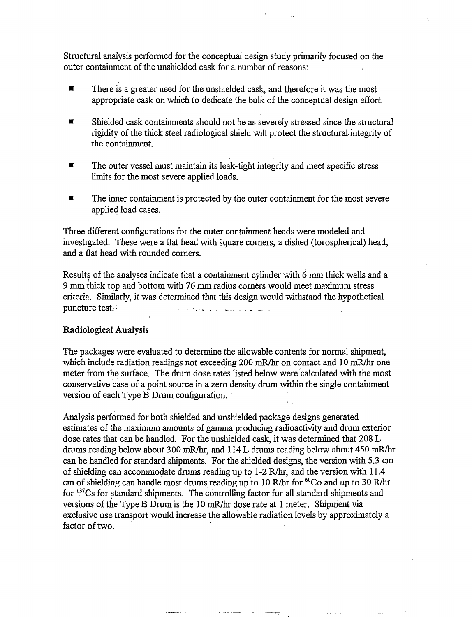Structural analysis performed for the conceptual design study primarily focused on the outer containment of the unshielded cask for a number of reasons:

- $\blacksquare$  There is a greater need for the unshielded cask, and therefore it was the most appropriate cask on which to dedicate the bulk of the conceptual design effort.
- **EXECUTE:** Shielded cask containments should not be as severely stressed since the structural rigidity of the thick steel radiological shield will protect the structural-integrity of the containment.
- **The outer vessel must maintain its leak-tight integrity and meet specific stress** limits for the most severe applied loads.
- The inner containment is protected by the outer containment for the most severe applied load cases.

Three different configurations for the outer containment heads were modeled and investigated. These were a flat head with square corners, a dished (torospherical) head, and a flat head with rounded corners.

Results of the analyses indicate that a containment cylinder with 6 mm thick walls and a 9 mm thick top and bottom with 76 mm radius corners would meet maximum stress criteria. Similarly, it was determined that this design would withstand the hypothetical puncture test. . • ....\_\_. .

#### **Radiological Analysis**

The packages were evaluated to determine the allowable contents for normal shipment, which include radiation readings not exceeding 200 mR/hr on contact and 10 mR/hr one meter from the surface. The drum dose rates listed below were calculated with the most conservative case of a point source in a zero density drum within the single containment version of each Type B Drum configuration.

Analysis performed for both shielded and unshielded package designs generated estimates of the maximum amounts of gamma producing radioactivity and drum exterior dose rates that can be handled. For the unshielded cask, it was determined that 208 L drums reading below about 300 mR/hr, and 114 L drums reading below about 450 mR/hr can be handled for standard shipments. For the shielded designs, the version with 5.3 cm of shielding can accommodate drums reading up to 1 -2 R/hr, and the version with 11.4 cm of shielding can handle most drums reading up to 10 R/hr for <sup>60</sup>Co and up to 30 R/hr for <sup>137</sup>Cs for standard shipments. The controlling factor for all standard shipments and versions of the Type B Drum is the 10 mR/hr dose rate at 1 meter. Shipment via exclusive use transport would increase the allowable radiation levels by approximately a factor of two.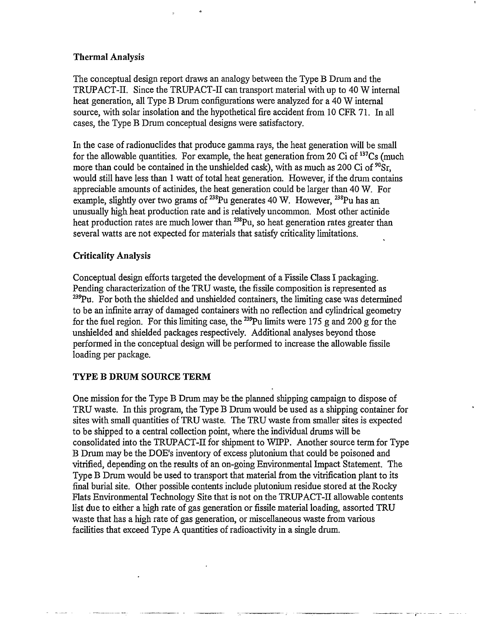#### **Thermal Analysis**

The conceptual design report draws an analogy between the Type B Drum and the TRUPACT-II. Since the TRUPACT-II can transport material with up to 40 W internal heat generation, all Type B Drum configurations were analyzed for a 40 W internal source, with solar insolation and the hypothetical fire accident from 10 CFR 71. In all cases, the Type B Drum conceptual designs were satisfactory.

In the case of radionuclides that produce gamma rays, the heat generation will be small for the allowable quantities. For example, the heat generation from 20 Ci of <sup>137</sup>Cs (much more than could be contained in the unshielded cask), with as much as 200 Ci of <sup>90</sup>Sr, would still have less than 1 watt of total heat generation. However, if the drum contains appreciable amounts of actinides, the heat generation could be larger than 40 W. For example, slightly over two grams of  $^{238}$ Pu generates 40 W. However,  $^{238}$ Pu has an unusually high heat production rate and is relatively uncommon. Most other actinide heat production rates are much lower than <sup>238</sup>Pu, so heat generation rates greater than several watts are not expected for materials that satisfy criticality limitations.

#### **Criticality Analysis**

Conceptual design efforts targeted the development of a Fissile Class I packaging. Pending characterization of the TRU waste, the fissile composition is represented as  $^{239}$ Pu. For both the shielded and unshielded containers, the limiting case was determined to be an infinite array of damaged containers with no reflection and cylindrical geometry for the fuel region. For this limiting case, the <sup>239</sup>Pu limits were 175 g and 200 g for the unshielded and shielded packages respectively. Additional analyses beyond those performed in the conceptual design will be performed to increase the allowable fissile loading per package.

#### **TYPE B DRUM SOURCE TERM**

One mission for the Type B Drum may be the planned shipping campaign to dispose of TRU waste. In this program, the Type B Drum would be used as a shipping container for sites with small quantities of TRU waste. The TRU waste from smaller sites is expected to be shipped to a central collection point, where the individual drums will be consolidated into the TRUPACT-II for shipment to WIPP. Another source term for Type B Drum may be the DOE's inventory of excess plutonium that could be poisoned and vitrified, depending on the results of an on-going Environmental Impact Statement. The Type B Drum would be used to transport that material from the vitrification plant to its final burial site. Other possible contents include plutonium residue stored at the Rocky Flats Environmental Technology Site that is not on the TRUPACT-II allowable contents list due to either a high rate of gas generation or fissile material loading, assorted TRU waste that has a high rate of gas generation, or miscellaneous waste from various facilities that exceed Type A quantities of radioactivity in a single drum.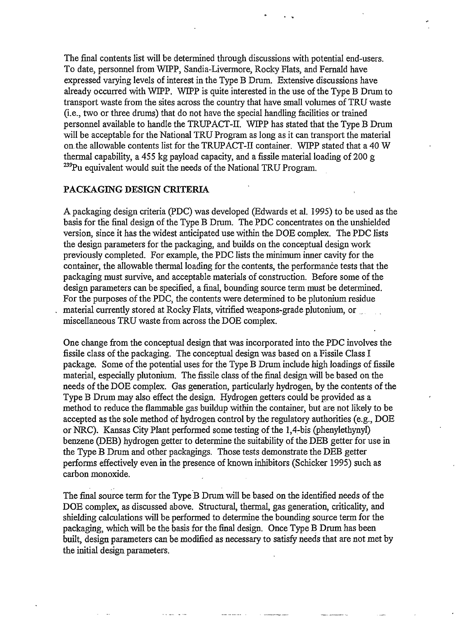The final contents list will be determined through discussions with potential end-users. To date, personnel from WIPP, Sandia-Livermore, Rocky Flats, and Fernald have expressed varying levels of interest in the Type B Drum. Extensive discussions have already occurred with WIPP. WIPP is quite interested in the use of the Type B Drum to transport waste from the sites across the country that have small volumes of TRU waste (i.e., two or three drums) that do not have the special handling facilities or trained personnel available to handle the TRUPACT-II. WIPP has stated that the Type B Drum will be acceptable for the National TRU Program as long as it can transport the material on the allowable contents list for the TRUPACT-II container. WIPP stated that a 40 W thermal capability, a 455 kg payload capacity, and a fissile material loading of 200 g <sup>239</sup>Pu equivalent would suit the needs of the National TRU Program.

#### **PACKAGING DESIGN CRITERIA**

A packaging design criteria (PDC) was developed (Edwards et al. 1995) to be used as the basis for the final design of the Type B Drum. The PDC concentrates on the unshielded version, since it has the widest anticipated use within the DOE complex. The PDC lists the design parameters for the packaging, and builds on the conceptual design work previously completed. For example, the PDC lists the minimum inner cavity for the container, the allowable thermal loading for the contents, the performance tests that the packaging must survive, and acceptable materials of construction. Before some of the design parameters can be specified, a final, bounding source term must be determined. For the purposes of the PDC, the contents were determined to be plutonium residue material currently stored at Rocky Flats, vitrified weapons-grade plutonium, or miscellaneous TRU waste from across the DOE complex.

One change from the conceptual design that was incorporated into the PDC involves the fissile class of the packaging. The conceptual design was based on a Fissile Class I package. Some of the potential uses for the Type B Drum include high loadings of fissile material, especially plutonium. The fissile class of the final design will be based on the needs of the DOE complex. Gas generation, particularly hydrogen, by the contents of the Type B Drum may also effect the design. Hydrogen getters could be provided as a method to reduce the flammable gas buildup within the container, but are not likely to be accepted as the sole method of hydrogen control by the regulatory authorities (e.g., DOE or NRC). Kansas City Plant performed some testing of the 1,4-bis (phenylethynyl) benzene (DEB) hydrogen getter to determine the suitability of the DEB getter for use in the Type B Drum and other packagings. Those tests demonstrate the DEB getter performs effectively even in the presence of known inhibitors (Schicker 1995) such as carbon monoxide.

The final source term for the Type B Drum will be based on the identified needs of the DOE complex, as discussed above. Structural, thermal, gas generation, criticality, and shielding calculations will be performed to determine the bounding source term for the packaging, which will be the basis for the final design. Once Type B Drum has been built, design parameters can be modified as necessary to satisfy needs that are not met by the initial design parameters.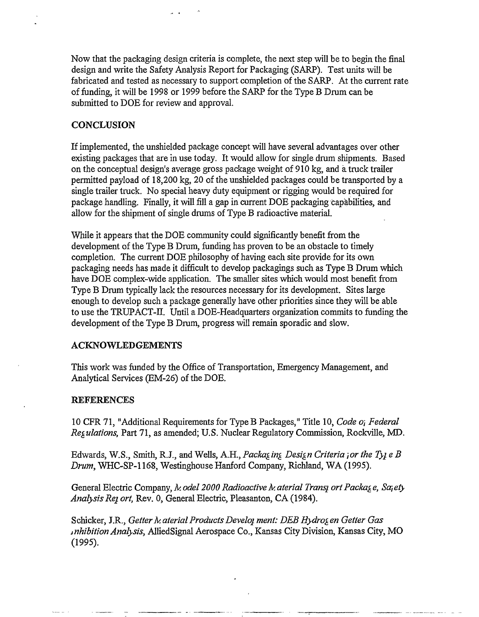Now that the packaging design criteria is complete, the next step will be to begin the final design and write the Safety Analysis Report for Packaging (SARP). Test units will be fabricated and tested as necessary to support completion of the SARP. At the current rate of funding, it will be 1998 or 1999 before the SARP for the Type B Drum can be submitted to DOE for review and approval.

#### **CONCLUSION**

If implemented, the unshielded package concept will have several advantages over other existing packages that are in use today. It would allow for single drum shipments. Based on the conceptual design's average gross package weight of 910 kg, and a truck trailer permitted payload of 18,200 kg, 20 of the unshielded packages could be transported by a single trailer truck. No special heavy duty equipment or rigging would be required for package handling. Finally, it will fill a gap in current DOE packaging capabilities, and allow for the shipment of single drums of Type B radioactive material.

While it appears that the DOE community could significantly benefit from the development of the Type B Drum, funding has proven to be an obstacle to timely completion. The current DOE philosophy of having each site provide for its own packaging needs has made it difficult to develop packagings such as Type B Drum which have DOE complex-wide application. The smaller sites which would most benefit from Type B Drum typically lack the resources necessary for its development. Sites large enough to develop such a package generally have other priorities since they will be able to use the TRUPACT-II. Until a DOE-Headquarters organization commits to funding the development of the Type B Drum, progress will remain sporadic and slow.

#### **ACKNOWLEDGEMENTS**

This work was funded by the Office of Transportation, Emergency Management, and Analytical Services (EM-26) of the DOE.

#### **REFERENCES**

10 CFR 71, "Additional Requirements for Type B Packages," Title 10, *Code o; Federal Regulations,* Part 71, as amended; U.S. Nuclear Regulatory Commission, Rockville, MD.

Edwards, W.S., Smith, R.J., and Wells, A.H., *Packaging Design Criteria;or the TyjeB Drum,* WHC-SP-1168, Westinghouse Hanford Company, Richland, WA (1995).

General Electric Company, *h. odel 2000 Radioactive h. aterial Trans<sub>p</sub> ort Package, Sajety Analysis Rej. ort,* Rev. 0, General Electric, Pleasanton, CA (1984).

Schicker, J.R., *Getter Material Products Develop ment: DEB Hydrogen Getter Gas inhibition Analysis,* AlliedSignal Aerospace Co., Kansas City Division, Kansas City, MO (1995).